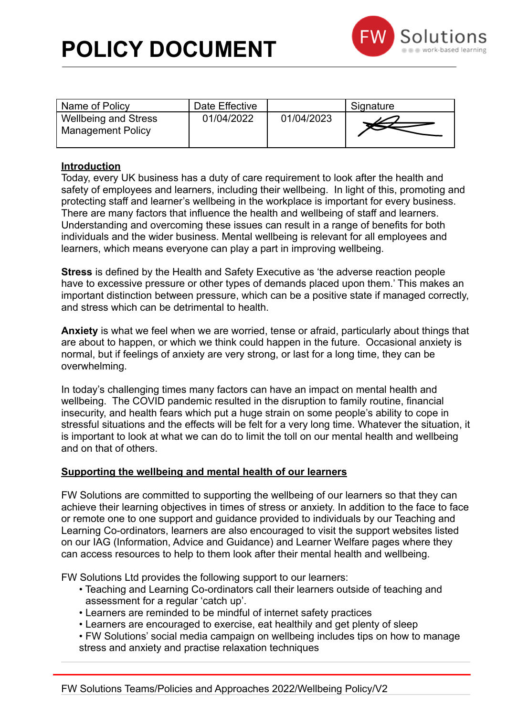

| Name of Policy                                          | Date Effective |            | Signature |
|---------------------------------------------------------|----------------|------------|-----------|
| <b>Wellbeing and Stress</b><br><b>Management Policy</b> | 01/04/2022     | 01/04/2023 |           |

### **Introduction**

Today, every UK business has a duty of care requirement to look after the health and safety of employees and learners, including their wellbeing. In light of this, promoting and protecting staff and learner's wellbeing in the workplace is important for every business. There are many factors that influence the health and wellbeing of staff and learners. Understanding and overcoming these issues can result in a range of benefits for both individuals and the wider business. Mental wellbeing is relevant for all employees and learners, which means everyone can play a part in improving wellbeing.

**Stress** is defined by the Health and Safety Executive as 'the adverse reaction people have to excessive pressure or other types of demands placed upon them.' This makes an important distinction between pressure, which can be a positive state if managed correctly, and stress which can be detrimental to health.

**Anxiety** is what we feel when we are worried, tense or afraid, particularly about things that are about to happen, or which we think could happen in the future. Occasional anxiety is normal, but if feelings of anxiety are very strong, or last for a long time, they can be overwhelming.

In today's challenging times many factors can have an impact on mental health and wellbeing. The COVID pandemic resulted in the disruption to family routine, financial insecurity, and health fears which put a huge strain on some people's ability to cope in stressful situations and the effects will be felt for a very long time. Whatever the situation, it is important to look at what we can do to limit the toll on our mental health and wellbeing and on that of others.

### **Supporting the wellbeing and mental health of our learners**

FW Solutions are committed to supporting the wellbeing of our learners so that they can achieve their learning objectives in times of stress or anxiety. In addition to the face to face or remote one to one support and guidance provided to individuals by our Teaching and Learning Co-ordinators, learners are also encouraged to visit the support websites listed on our IAG (Information, Advice and Guidance) and Learner Welfare pages where they can access resources to help to them look after their mental health and wellbeing.

FW Solutions Ltd provides the following support to our learners:

- Teaching and Learning Co-ordinators call their learners outside of teaching and assessment for a regular 'catch up'.
- Learners are reminded to be mindful of internet safety practices
- Learners are encouraged to exercise, eat healthily and get plenty of sleep
- FW Solutions' social media campaign on wellbeing includes tips on how to manage stress and anxiety and practise relaxation techniques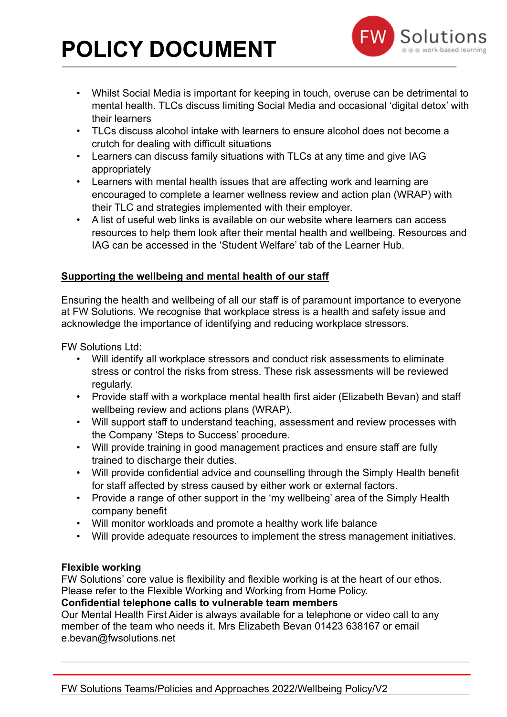# **POLICY DOCUMENT**



- Whilst Social Media is important for keeping in touch, overuse can be detrimental to mental health. TLCs discuss limiting Social Media and occasional 'digital detox' with their learners
- TLCs discuss alcohol intake with learners to ensure alcohol does not become a crutch for dealing with difficult situations
- Learners can discuss family situations with TLCs at any time and give IAG appropriately
- Learners with mental health issues that are affecting work and learning are encouraged to complete a learner wellness review and action plan (WRAP) with their TLC and strategies implemented with their employer.
- A list of useful web links is available on our website where learners can access resources to help them look after their mental health and wellbeing. Resources and IAG can be accessed in the 'Student Welfare' tab of the Learner Hub.

## **Supporting the wellbeing and mental health of our staff**

Ensuring the health and wellbeing of all our staff is of paramount importance to everyone at FW Solutions. We recognise that workplace stress is a health and safety issue and acknowledge the importance of identifying and reducing workplace stressors.

FW Solutions Ltd:

- Will identify all workplace stressors and conduct risk assessments to eliminate stress or control the risks from stress. These risk assessments will be reviewed regularly.
- Provide staff with a workplace mental health first aider (Elizabeth Bevan) and staff wellbeing review and actions plans (WRAP).
- Will support staff to understand teaching, assessment and review processes with the Company 'Steps to Success' procedure.
- Will provide training in good management practices and ensure staff are fully trained to discharge their duties.
- Will provide confidential advice and counselling through the Simply Health benefit for staff affected by stress caused by either work or external factors.
- Provide a range of other support in the 'my wellbeing' area of the Simply Health company benefit
- Will monitor workloads and promote a healthy work life balance
- Will provide adequate resources to implement the stress management initiatives.

## **Flexible working**

FW Solutions' core value is flexibility and flexible working is at the heart of our ethos. Please refer to the Flexible Working and Working from Home Policy.

## **Confidential telephone calls to vulnerable team members**

Our Mental Health First Aider is always available for a telephone or video call to any member of the team who needs it. Mrs Elizabeth Bevan 01423 638167 or email e.bevan@fwsolutions.net